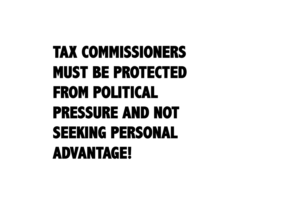### **TAX COMMISSIONERS MUST BE PROTECTED FROM POLITICAL PRESSURE AND NOT SEEKING PERSONAL ADVANTAGE!**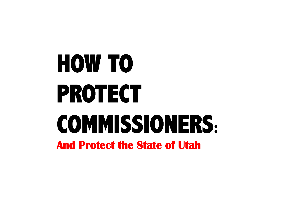# **HOW TO PROTECT COMMISSIONERS: And Protect the State of Utah**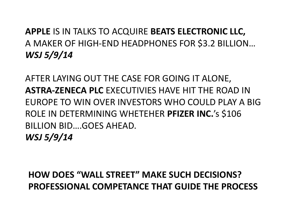#### **APPLE IS IN TALKS TO ACQUIRE BEATS ELECTRONIC LLC,** A MAKER OF HIGH-END HEADPHONES FOR \$3.2 BILLION... *WSJ\$5/9/14\$*

AFTER LAYING OUT THE CASE FOR GOING IT ALONE, **ASTRA-ZENECA PLC EXECUTIVIES HAVE HIT THE ROAD IN** EUROPE TO WIN OVER INVESTORS WHO COULD PLAY A BIG ROLE IN DETERMINING WHETEHER **PFIZER INC.**'s \$106 BILLION BID....GOES AHEAD. *WSJ\$5/9/14\$*

**HOW DOES "WALL STREET" MAKE SUCH DECISIONS? PROFESSIONAL COMPETANCE THAT GUIDE THE PROCESS**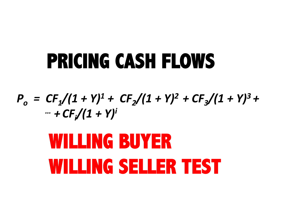### **PRICING CASH FLOWS**

 $P_{o} = CF_{1}/(1 + Y)^{1} + CF_{2}/(1 + Y)^{2} + CF_{3}/(1 + Y)^{3} +$ *\$\$\$\$\$\$\$\$\$\$\$\$\$\$\$…\$+ CFi /(1\$+\$Y)i*

## **WILLING BUYER WILLING SELLER TEST**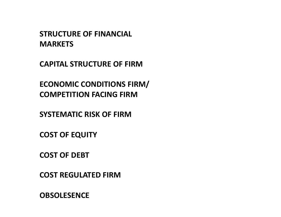**STRUCTURE OF FINANCIAL MARKETS** 

**CAPITAL STRUCTURE OF FIRM** 

**ECONOMIC CONDITIONS FIRM/ COMPETITION FACING FIRM** 

**SYSTEMATIC RISK OF FIRM** 

**COST OF EQUITY** 

**COST OF DEBT** 

**COST REGULATED FIRM** 

**OBSOLESENCE%**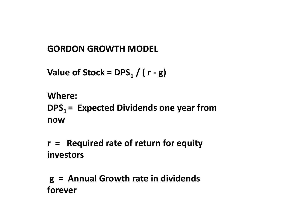#### **GORDON GROWTH MODEL**

**Value of Stock = DPS<sub>1</sub> / (** $r - g$ **)** 

#### **Where: DPS<sub>1</sub> = Expected Dividends one year from now%**

**r = Required rate of return for equity investors** 

**%g%%=%%Annual%Growth%rate%in%dividends% forever%**